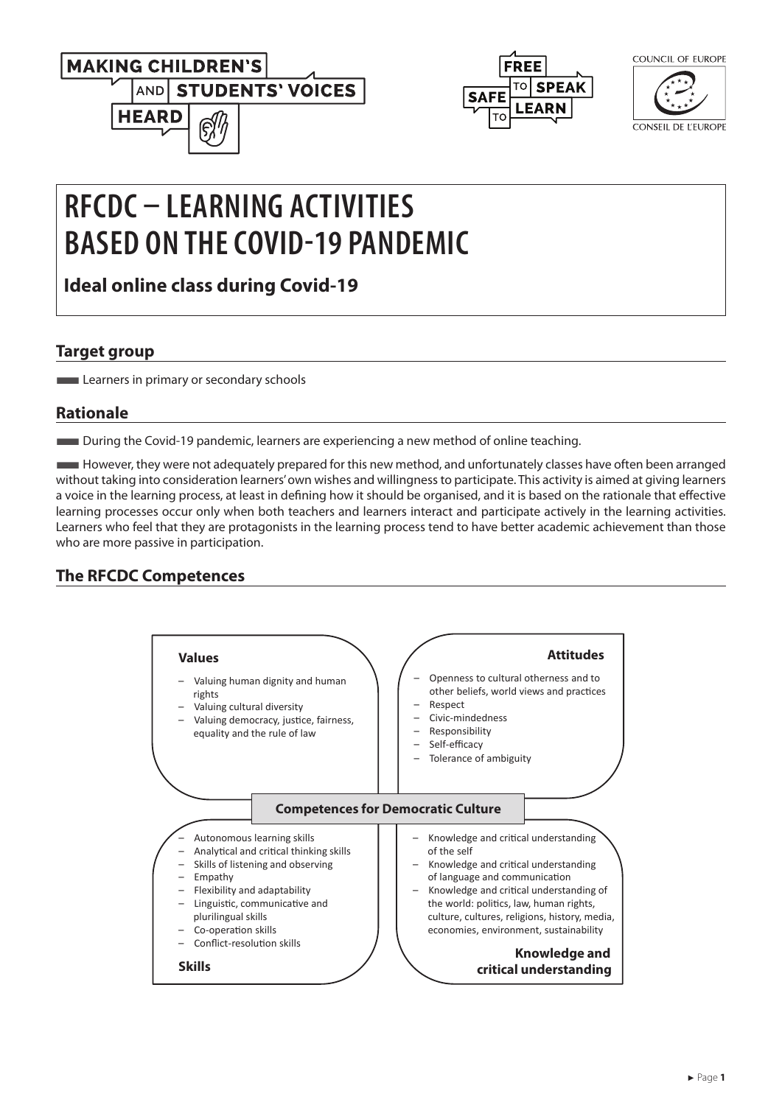



| COUNCIL OF EUROPE |  |
|-------------------|--|
|                   |  |

CONSEIL DE L'EUROPE

# **RFCDC – LEARNING ACTIVITIES BASED ON THE COVID-19 PANDEMIC**

**Ideal online class during Covid-19**

#### **Target group**

**Learners in primary or secondary schools** 

### **Rationale**

■During the Covid-19 pandemic, learners are experiencing a new method of online teaching.

■However, they were not adequately prepared for this new method, and unfortunately classes have often been arranged without taking into consideration learners' own wishes and willingness to participate. This activity is aimed at giving learners a voice in the learning process, at least in defining how it should be organised, and it is based on the rationale that effective learning processes occur only when both teachers and learners interact and participate actively in the learning activities. Learners who feel that they are protagonists in the learning process tend to have better academic achievement than those who are more passive in participation.

## **The RFCDC Competences**

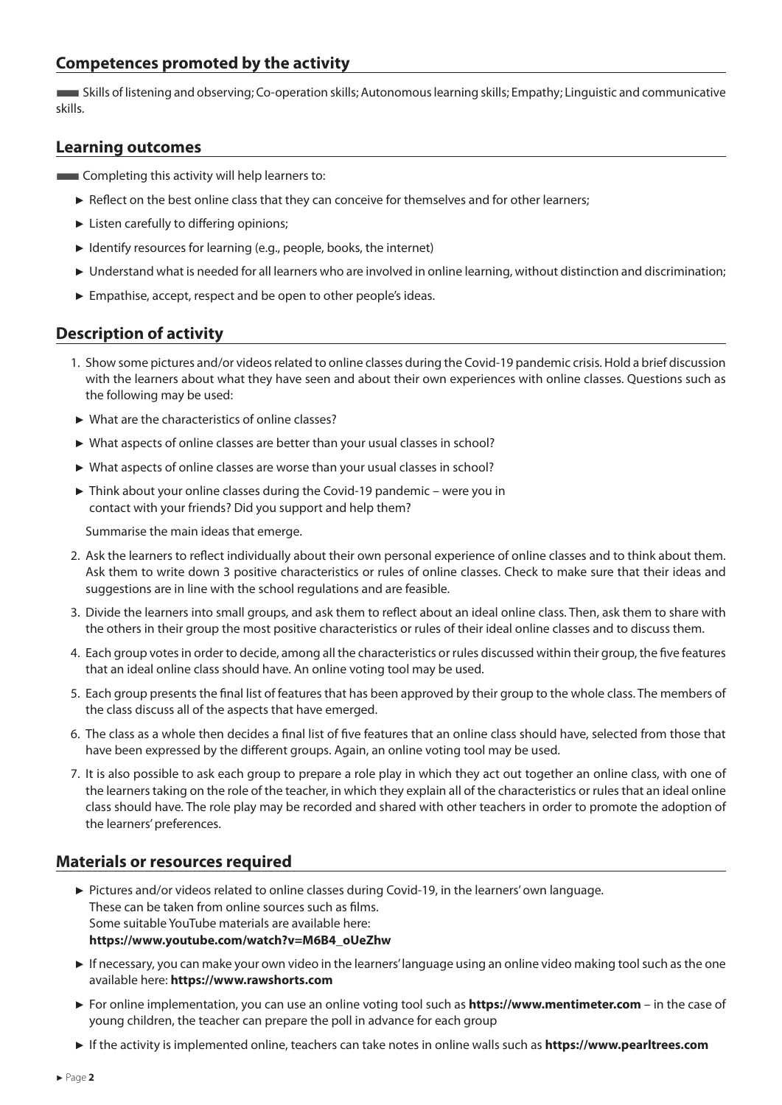#### **Competences promoted by the activity**

■Skills of listening and observing; Co-operation skills; Autonomous learning skills; Empathy; Linguistic and communicative skills.

#### **Learning outcomes**

**EXECOMPLER** Completing this activity will help learners to:

- ► Reflect on the best online class that they can conceive for themselves and for other learners;
- ► Listen carefully to differing opinions;
- ► Identify resources for learning (e.g., people, books, the internet)
- ► Understand what is needed for all learners who are involved in online learning, without distinction and discrimination;
- ► Empathise, accept, respect and be open to other people's ideas.

#### **Description of activity**

- 1. Show some pictures and/or videos related to online classes during the Covid-19 pandemic crisis. Hold a brief discussion with the learners about what they have seen and about their own experiences with online classes. Questions such as the following may be used:
- ► What are the characteristics of online classes?
- ► What aspects of online classes are better than your usual classes in school?
- ► What aspects of online classes are worse than your usual classes in school?
- ► Think about your online classes during the Covid-19 pandemic were you in contact with your friends? Did you support and help them?

Summarise the main ideas that emerge.

- 2. Ask the learners to reflect individually about their own personal experience of online classes and to think about them. Ask them to write down 3 positive characteristics or rules of online classes. Check to make sure that their ideas and suggestions are in line with the school regulations and are feasible.
- 3. Divide the learners into small groups, and ask them to reflect about an ideal online class. Then, ask them to share with the others in their group the most positive characteristics or rules of their ideal online classes and to discuss them.
- 4. Each group votes in order to decide, among all the characteristics or rules discussed within their group, the five features that an ideal online class should have. An online voting tool may be used.
- 5. Each group presents the final list of features that has been approved by their group to the whole class. The members of the class discuss all of the aspects that have emerged.
- 6. The class as a whole then decides a final list of five features that an online class should have, selected from those that have been expressed by the different groups. Again, an online voting tool may be used.
- 7. It is also possible to ask each group to prepare a role play in which they act out together an online class, with one of the learners taking on the role of the teacher, in which they explain all of the characteristics or rules that an ideal online class should have. The role play may be recorded and shared with other teachers in order to promote the adoption of the learners' preferences.

#### **Materials or resources required**

- ► Pictures and/or videos related to online classes during Covid-19, in the learners' own language. These can be taken from online sources such as films. Some suitable YouTube materials are available here: **[https://www.youtube.com/watch?v=M6B4\\_oUeZhw](https://www.youtube.com/watch?v=M6B4_oUeZhw  )**
- ► If necessary, you can make your own video in the learners' language using an online video making tool such as the one available here: **<https://www.rawshorts.com>**
- ► For online implementation, you can use an online voting tool such as **<https://www.mentimeter.com>** in the case of young children, the teacher can prepare the poll in advance for each group
- ► If the activity is implemented online, teachers can take notes in online walls such as **<https://www.pearltrees.com>**